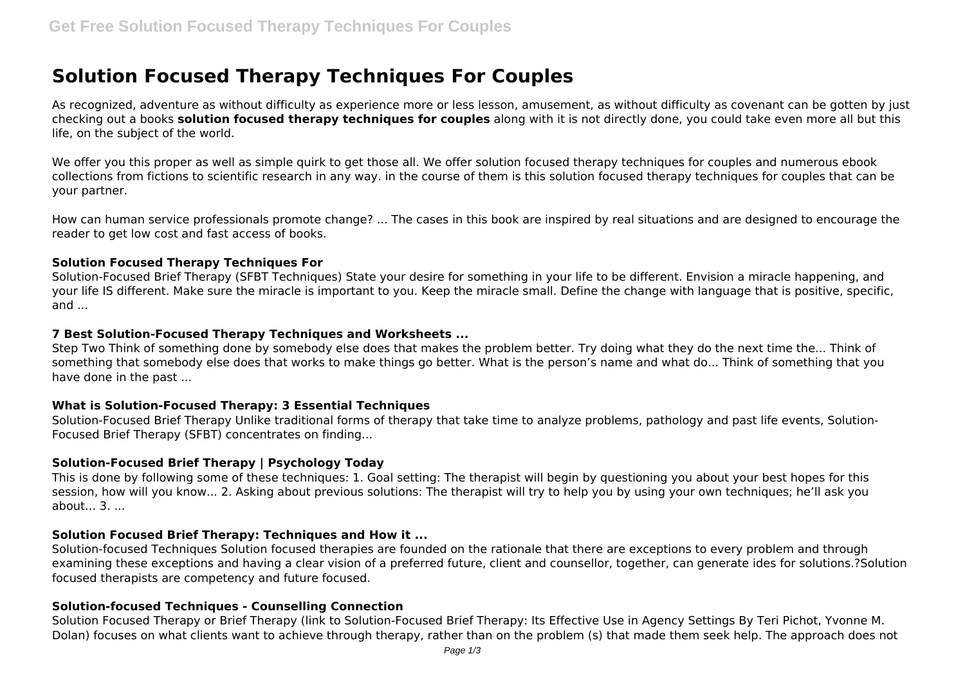# **Solution Focused Therapy Techniques For Couples**

As recognized, adventure as without difficulty as experience more or less lesson, amusement, as without difficulty as covenant can be gotten by just checking out a books **solution focused therapy techniques for couples** along with it is not directly done, you could take even more all but this life, on the subject of the world.

We offer you this proper as well as simple quirk to get those all. We offer solution focused therapy techniques for couples and numerous ebook collections from fictions to scientific research in any way. in the course of them is this solution focused therapy techniques for couples that can be your partner.

How can human service professionals promote change? ... The cases in this book are inspired by real situations and are designed to encourage the reader to get low cost and fast access of books.

# **Solution Focused Therapy Techniques For**

Solution-Focused Brief Therapy (SFBT Techniques) State your desire for something in your life to be different. Envision a miracle happening, and your life IS different. Make sure the miracle is important to you. Keep the miracle small. Define the change with language that is positive, specific, and ...

# **7 Best Solution-Focused Therapy Techniques and Worksheets ...**

Step Two Think of something done by somebody else does that makes the problem better. Try doing what they do the next time the... Think of something that somebody else does that works to make things go better. What is the person's name and what do... Think of something that you have done in the past ...

# **What is Solution-Focused Therapy: 3 Essential Techniques**

Solution-Focused Brief Therapy Unlike traditional forms of therapy that take time to analyze problems, pathology and past life events, Solution-Focused Brief Therapy (SFBT) concentrates on finding...

# **Solution-Focused Brief Therapy | Psychology Today**

This is done by following some of these techniques: 1. Goal setting: The therapist will begin by questioning you about your best hopes for this session, how will you know... 2. Asking about previous solutions: The therapist will try to help you by using your own techniques; he'll ask you about  $\overline{3}$ .

# **Solution Focused Brief Therapy: Techniques and How it ...**

Solution-focused Techniques Solution focused therapies are founded on the rationale that there are exceptions to every problem and through examining these exceptions and having a clear vision of a preferred future, client and counsellor, together, can generate ides for solutions.?Solution focused therapists are competency and future focused.

# **Solution-focused Techniques - Counselling Connection**

Solution Focused Therapy or Brief Therapy (link to Solution-Focused Brief Therapy: Its Effective Use in Agency Settings By Teri Pichot, Yvonne M. Dolan) focuses on what clients want to achieve through therapy, rather than on the problem (s) that made them seek help. The approach does not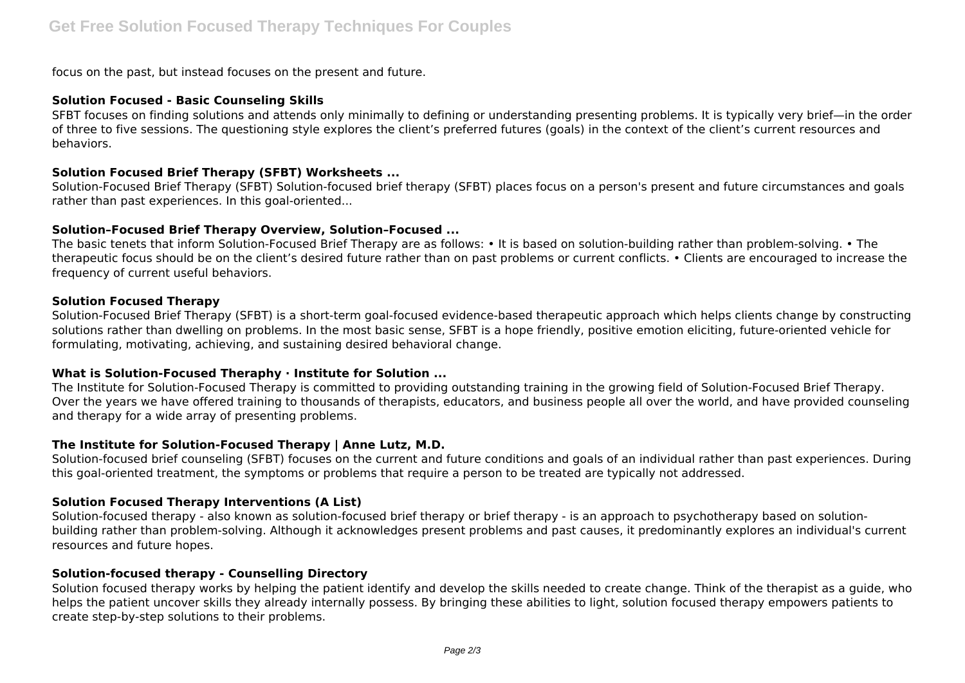focus on the past, but instead focuses on the present and future.

# **Solution Focused - Basic Counseling Skills**

SFBT focuses on finding solutions and attends only minimally to defining or understanding presenting problems. It is typically very brief—in the order of three to five sessions. The questioning style explores the client's preferred futures (goals) in the context of the client's current resources and behaviors.

# **Solution Focused Brief Therapy (SFBT) Worksheets ...**

Solution-Focused Brief Therapy (SFBT) Solution-focused brief therapy (SFBT) places focus on a person's present and future circumstances and goals rather than past experiences. In this goal-oriented...

# **Solution–Focused Brief Therapy Overview, Solution–Focused ...**

The basic tenets that inform Solution-Focused Brief Therapy are as follows: • It is based on solution-building rather than problem-solving. • The therapeutic focus should be on the client's desired future rather than on past problems or current conflicts. • Clients are encouraged to increase the frequency of current useful behaviors.

#### **Solution Focused Therapy**

Solution-Focused Brief Therapy (SFBT) is a short-term goal-focused evidence-based therapeutic approach which helps clients change by constructing solutions rather than dwelling on problems. In the most basic sense, SFBT is a hope friendly, positive emotion eliciting, future-oriented vehicle for formulating, motivating, achieving, and sustaining desired behavioral change.

# **What is Solution-Focused Theraphy · Institute for Solution ...**

The Institute for Solution-Focused Therapy is committed to providing outstanding training in the growing field of Solution-Focused Brief Therapy. Over the years we have offered training to thousands of therapists, educators, and business people all over the world, and have provided counseling and therapy for a wide array of presenting problems.

# **The Institute for Solution-Focused Therapy | Anne Lutz, M.D.**

Solution-focused brief counseling (SFBT) focuses on the current and future conditions and goals of an individual rather than past experiences. During this goal-oriented treatment, the symptoms or problems that require a person to be treated are typically not addressed.

# **Solution Focused Therapy Interventions (A List)**

Solution-focused therapy - also known as solution-focused brief therapy or brief therapy - is an approach to psychotherapy based on solutionbuilding rather than problem-solving. Although it acknowledges present problems and past causes, it predominantly explores an individual's current resources and future hopes.

# **Solution-focused therapy - Counselling Directory**

Solution focused therapy works by helping the patient identify and develop the skills needed to create change. Think of the therapist as a guide, who helps the patient uncover skills they already internally possess. By bringing these abilities to light, solution focused therapy empowers patients to create step-by-step solutions to their problems.